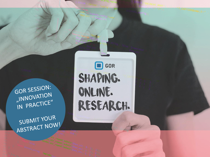SUBMIT YOUR ABSTRACT NOW!

GOR SESSION: "INNOVATION IN PRACTICE"

**O** GOR SHAPING. ONLINE. RESEARCH.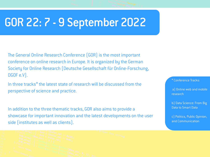## GOR 22: 7 - 9 September 2022

The General Online Research Conference (GOR) is the most important conference on online research in Europe. It is organized by the German Society for Online Research (Deutsche Gesellschaft für Online-Forschung, DGOF e.V).

In three tracks\* the latest state of research will be discussed from the perspective of science and practice.

In addition to the three thematic tracks, GOR also aims to provide a showcase for important innovation and the latest developments on the user side (institutes as well as clients).

\* Conference Tracks:

a) Online web and mobile research

b) Data Science: From Big Data to Smart Data

c) Politics, Public Opinion, and Communication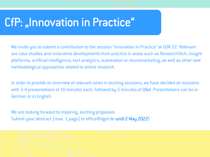## CfP: "Innovation in Practice"

We invite you to submit a contribution to the session "Innovation in Practice" at GOR 22. Relevant are case studies and innovative developments from practice in areas such as ResearchTech, insight platforms, artificial intelligence, text analytics, automation or neuromarketing, as well as other new methodological approaches related to online research.

In order to provide an overview of relevant news in exciting sessions, we have decided on sessions with 3-4 presentations of 10 minutes each, followed by 5 minutes of Q&A. Presentations can be in German or in English.

We are looking forward to inspiring, exciting proposals. Submit your abstract (max. 1 page) to office@dgof.de until 2 May 2022!